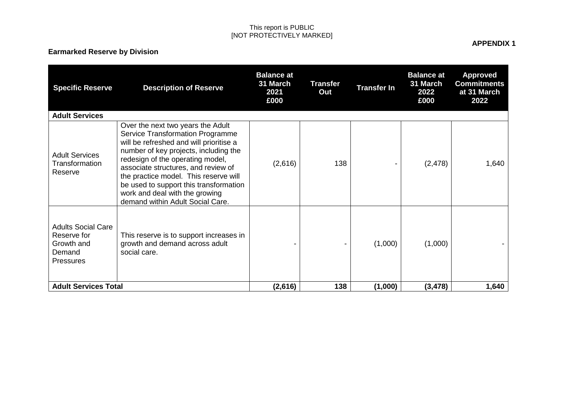# **Earmarked Reserve by Division**

| <b>Specific Reserve</b>                                                       | <b>Description of Reserve</b>                                                                                                                                                                                                                                                                                                                                                                 | <b>Balance at</b><br>31 March<br>2021<br>£000 | <b>Transfer</b><br>Out | <b>Transfer In</b> | <b>Balance at</b><br>31 March<br>2022<br>£000 | <b>Approved</b><br><b>Commitments</b><br>at 31 March<br>2022 |
|-------------------------------------------------------------------------------|-----------------------------------------------------------------------------------------------------------------------------------------------------------------------------------------------------------------------------------------------------------------------------------------------------------------------------------------------------------------------------------------------|-----------------------------------------------|------------------------|--------------------|-----------------------------------------------|--------------------------------------------------------------|
| <b>Adult Services</b>                                                         |                                                                                                                                                                                                                                                                                                                                                                                               |                                               |                        |                    |                                               |                                                              |
| <b>Adult Services</b><br>Transformation<br>Reserve                            | Over the next two years the Adult<br>Service Transformation Programme<br>will be refreshed and will prioritise a<br>number of key projects, including the<br>redesign of the operating model,<br>associate structures, and review of<br>the practice model. This reserve will<br>be used to support this transformation<br>work and deal with the growing<br>demand within Adult Social Care. | (2,616)                                       | 138                    |                    | (2, 478)                                      | 1,640                                                        |
| <b>Adults Social Care</b><br>Reserve for<br>Growth and<br>Demand<br>Pressures | This reserve is to support increases in<br>growth and demand across adult<br>social care.                                                                                                                                                                                                                                                                                                     |                                               |                        | (1,000)            | (1,000)                                       |                                                              |
| <b>Adult Services Total</b>                                                   |                                                                                                                                                                                                                                                                                                                                                                                               | (2,616)                                       | 138                    | (1,000)            | (3, 478)                                      | 1,640                                                        |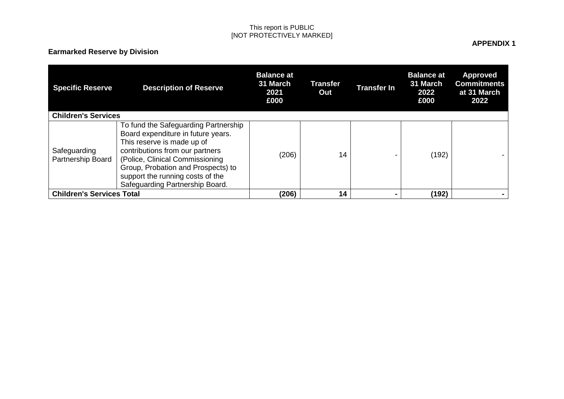# **Earmarked Reserve by Division**

| <b>Specific Reserve</b><br><b>Children's Services</b> | <b>Description of Reserve</b>                                                                                                                                                                                                                                                               | <b>Balance at</b><br>31 March<br>2021<br>£000 | <b>Transfer</b><br>Out | <b>Transfer In</b> | <b>Balance at</b><br>31 March<br>2022<br>£000 | <b>Approved</b><br><b>Commitments</b><br>at 31 March<br>2022 |
|-------------------------------------------------------|---------------------------------------------------------------------------------------------------------------------------------------------------------------------------------------------------------------------------------------------------------------------------------------------|-----------------------------------------------|------------------------|--------------------|-----------------------------------------------|--------------------------------------------------------------|
| Safeguarding<br>Partnership Board                     | To fund the Safeguarding Partnership<br>Board expenditure in future years.<br>This reserve is made up of<br>contributions from our partners<br>(Police, Clinical Commissioning<br>Group, Probation and Prospects) to<br>support the running costs of the<br>Safeguarding Partnership Board. | (206)                                         | 14                     |                    | (192)                                         |                                                              |
| <b>Children's Services Total</b>                      |                                                                                                                                                                                                                                                                                             | (206)                                         | 14                     |                    | (192)                                         |                                                              |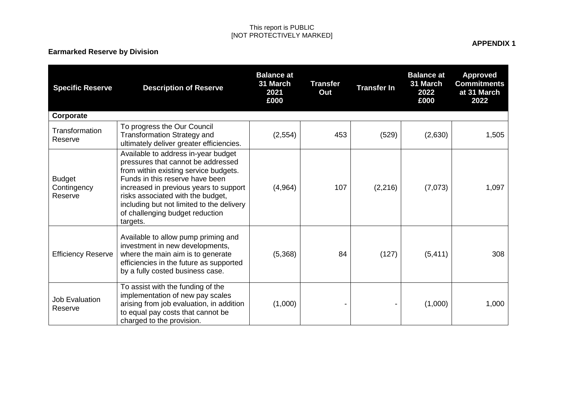# **Earmarked Reserve by Division**

| <b>Specific Reserve</b>                 | <b>Description of Reserve</b>                                                                                                                                                                                                                                                                                                    | <b>Balance at</b><br>31 March<br>2021<br>£000 | <b>Transfer</b><br>Out | <b>Transfer In</b> | <b>Balance at</b><br>31 March<br>2022<br>£000 | <b>Approved</b><br><b>Commitments</b><br>at 31 March<br>2022 |
|-----------------------------------------|----------------------------------------------------------------------------------------------------------------------------------------------------------------------------------------------------------------------------------------------------------------------------------------------------------------------------------|-----------------------------------------------|------------------------|--------------------|-----------------------------------------------|--------------------------------------------------------------|
| Corporate                               |                                                                                                                                                                                                                                                                                                                                  |                                               |                        |                    |                                               |                                                              |
| Transformation<br>Reserve               | To progress the Our Council<br><b>Transformation Strategy and</b><br>ultimately deliver greater efficiencies.                                                                                                                                                                                                                    | (2, 554)                                      | 453                    | (529)              | (2,630)                                       | 1,505                                                        |
| <b>Budget</b><br>Contingency<br>Reserve | Available to address in-year budget<br>pressures that cannot be addressed<br>from within existing service budgets.<br>Funds in this reserve have been<br>increased in previous years to support<br>risks associated with the budget,<br>including but not limited to the delivery<br>of challenging budget reduction<br>targets. | (4,964)                                       | 107                    | (2, 216)           | (7,073)                                       | 1,097                                                        |
| <b>Efficiency Reserve</b>               | Available to allow pump priming and<br>investment in new developments,<br>where the main aim is to generate<br>efficiencies in the future as supported<br>by a fully costed business case.                                                                                                                                       | (5,368)                                       | 84                     | (127)              | (5, 411)                                      | 308                                                          |
| Job Evaluation<br>Reserve               | To assist with the funding of the<br>implementation of new pay scales<br>arising from job evaluation, in addition<br>to equal pay costs that cannot be<br>charged to the provision.                                                                                                                                              | (1,000)                                       |                        |                    | (1,000)                                       | 1,000                                                        |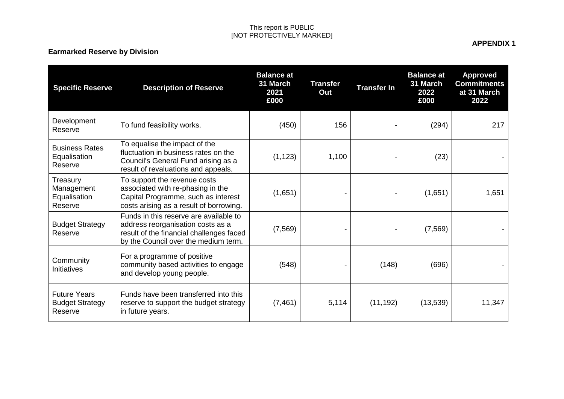# **Earmarked Reserve by Division**

| <b>Specific Reserve</b>                                  | <b>Description of Reserve</b>                                                                                                                                   | <b>Balance at</b><br>31 March<br>2021<br>£000 | <b>Transfer</b><br>Out | <b>Transfer In</b> | <b>Balance at</b><br>31 March<br>2022<br>£000 | <b>Approved</b><br><b>Commitments</b><br>at 31 March<br>2022 |
|----------------------------------------------------------|-----------------------------------------------------------------------------------------------------------------------------------------------------------------|-----------------------------------------------|------------------------|--------------------|-----------------------------------------------|--------------------------------------------------------------|
| Development<br>Reserve                                   | To fund feasibility works.                                                                                                                                      | (450)                                         | 156                    |                    | (294)                                         | 217                                                          |
| <b>Business Rates</b><br>Equalisation<br>Reserve         | To equalise the impact of the<br>fluctuation in business rates on the<br>Council's General Fund arising as a<br>result of revaluations and appeals.             | (1, 123)                                      | 1,100                  |                    | (23)                                          |                                                              |
| Treasury<br>Management<br>Equalisation<br>Reserve        | To support the revenue costs<br>associated with re-phasing in the<br>Capital Programme, such as interest<br>costs arising as a result of borrowing.             | (1,651)                                       |                        |                    | (1,651)                                       | 1,651                                                        |
| <b>Budget Strategy</b><br>Reserve                        | Funds in this reserve are available to<br>address reorganisation costs as a<br>result of the financial challenges faced<br>by the Council over the medium term. | (7, 569)                                      |                        |                    | (7, 569)                                      |                                                              |
| Community<br>Initiatives                                 | For a programme of positive<br>community based activities to engage<br>and develop young people.                                                                | (548)                                         |                        | (148)              | (696)                                         |                                                              |
| <b>Future Years</b><br><b>Budget Strategy</b><br>Reserve | Funds have been transferred into this<br>reserve to support the budget strategy<br>in future years.                                                             | (7, 461)                                      | 5,114                  | (11, 192)          | (13,539)                                      | 11,347                                                       |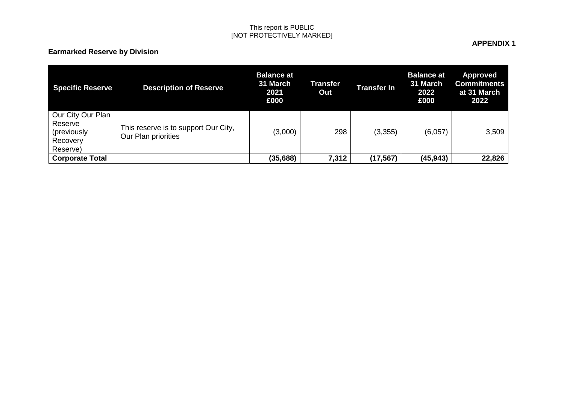# **Earmarked Reserve by Division**

| <b>Specific Reserve</b>                                             | <b>Description of Reserve</b>                               | <b>Balance at</b><br>31 March<br>2021<br>£000 | Transfer<br>Out | <b>Transfer In</b> | <b>Balance at</b><br>31 March<br>2022<br>£000 | <b>Approved</b><br><b>Commitments</b><br>at 31 March<br>2022 |
|---------------------------------------------------------------------|-------------------------------------------------------------|-----------------------------------------------|-----------------|--------------------|-----------------------------------------------|--------------------------------------------------------------|
| Our City Our Plan<br>Reserve<br>(previously<br>Recovery<br>Reserve) | This reserve is to support Our City,<br>Our Plan priorities | (3,000)                                       | 298             | (3,355)            | (6,057)                                       | 3,509                                                        |
| <b>Corporate Total</b>                                              |                                                             | (35, 688)                                     | 7,312           | (17, 567)          | (45, 943)                                     | 22,826                                                       |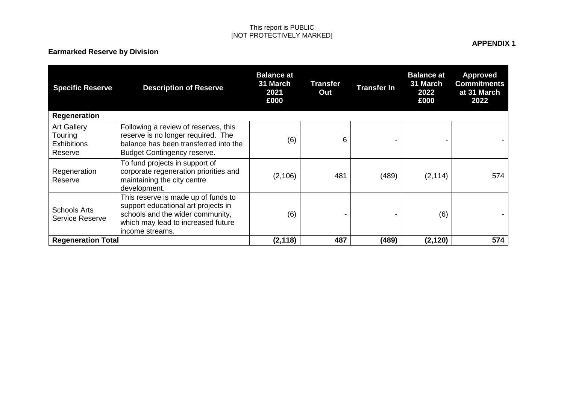# **Earmarked Reserve by Division**

| <b>Specific Reserve</b><br>Regeneration                        | <b>Description of Reserve</b>                                                                                                                                           | <b>Balance at</b><br>31 March<br>2021<br>£000 | Transfer<br>Out | <b>Transfer In</b> | <b>Balance at</b><br>31 March<br>2022<br>£000 | <b>Approved</b><br><b>Commitments</b><br>at 31 March<br>2022 |
|----------------------------------------------------------------|-------------------------------------------------------------------------------------------------------------------------------------------------------------------------|-----------------------------------------------|-----------------|--------------------|-----------------------------------------------|--------------------------------------------------------------|
| <b>Art Gallery</b><br>Touring<br><b>Exhibitions</b><br>Reserve | Following a review of reserves, this<br>reserve is no longer required. The<br>balance has been transferred into the<br><b>Budget Contingency reserve.</b>               | (6)                                           | 6               |                    |                                               |                                                              |
| Regeneration<br>Reserve                                        | To fund projects in support of<br>corporate regeneration priorities and<br>maintaining the city centre<br>development.                                                  | (2, 106)                                      | 481             | (489)              | (2, 114)                                      | 574                                                          |
| <b>Schools Arts</b><br><b>Service Reserve</b>                  | This reserve is made up of funds to<br>support educational art projects in<br>schools and the wider community,<br>which may lead to increased future<br>income streams. | (6)                                           |                 |                    | (6)                                           |                                                              |
| <b>Regeneration Total</b>                                      |                                                                                                                                                                         | (2, 118)                                      | 487             | (489)              | (2, 120)                                      | 574                                                          |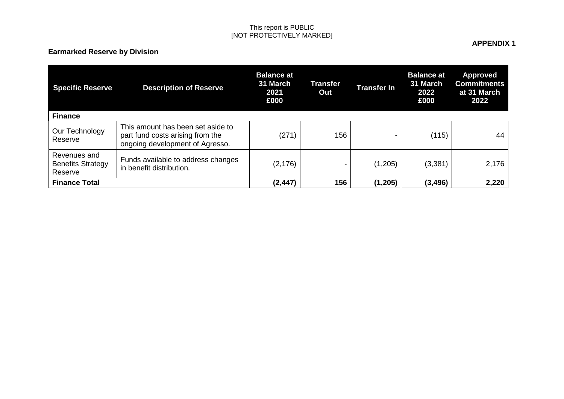# **Earmarked Reserve by Division**

| <b>Specific Reserve</b>                             | <b>Description of Reserve</b>                                                                            | <b>Balance at</b><br>31 March<br>2021<br>£000 | Transfer<br>Out | <b>Transfer In</b>       | <b>Balance at</b><br>31 March<br>2022<br>£000 | <b>Approved</b><br><b>Commitments</b><br>at 31 March<br>2022 |
|-----------------------------------------------------|----------------------------------------------------------------------------------------------------------|-----------------------------------------------|-----------------|--------------------------|-----------------------------------------------|--------------------------------------------------------------|
| <b>Finance</b>                                      |                                                                                                          |                                               |                 |                          |                                               |                                                              |
| Our Technology<br>Reserve                           | This amount has been set aside to<br>part fund costs arising from the<br>ongoing development of Agresso. | (271)                                         | 156             | $\overline{\phantom{0}}$ | (115)                                         | 44                                                           |
| Revenues and<br><b>Benefits Strategy</b><br>Reserve | Funds available to address changes<br>in benefit distribution.                                           | (2, 176)                                      | $\blacksquare$  | (1,205)                  | (3,381)                                       | 2,176                                                        |
| <b>Finance Total</b>                                |                                                                                                          | (2, 447)                                      | 156             | (1,205)                  | (3, 496)                                      | 2,220                                                        |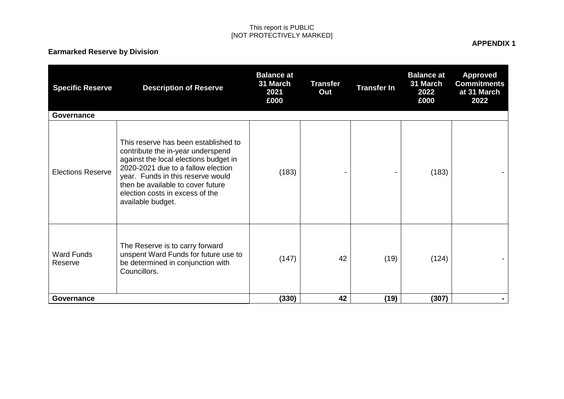# **Earmarked Reserve by Division**

| <b>Specific Reserve</b>      | <b>Description of Reserve</b>                                                                                                                                                                                                                                                              | <b>Balance at</b><br>31 March<br>2021<br>£000 | <b>Transfer</b><br>Out | <b>Transfer In</b> | <b>Balance at</b><br>31 March<br>2022<br>£000 | <b>Approved</b><br><b>Commitments</b><br>at 31 March<br>2022 |
|------------------------------|--------------------------------------------------------------------------------------------------------------------------------------------------------------------------------------------------------------------------------------------------------------------------------------------|-----------------------------------------------|------------------------|--------------------|-----------------------------------------------|--------------------------------------------------------------|
| <b>Governance</b>            |                                                                                                                                                                                                                                                                                            |                                               |                        |                    |                                               |                                                              |
| <b>Elections Reserve</b>     | This reserve has been established to<br>contribute the in-year underspend<br>against the local elections budget in<br>2020-2021 due to a fallow election<br>year. Funds in this reserve would<br>then be available to cover future<br>election costs in excess of the<br>available budget. | (183)                                         |                        |                    | (183)                                         |                                                              |
| <b>Ward Funds</b><br>Reserve | The Reserve is to carry forward<br>unspent Ward Funds for future use to<br>be determined in conjunction with<br>Councillors.                                                                                                                                                               | (147)                                         | 42                     | (19)               | (124)                                         |                                                              |
| Governance                   |                                                                                                                                                                                                                                                                                            | (330)                                         | 42                     | (19)               | (307)                                         |                                                              |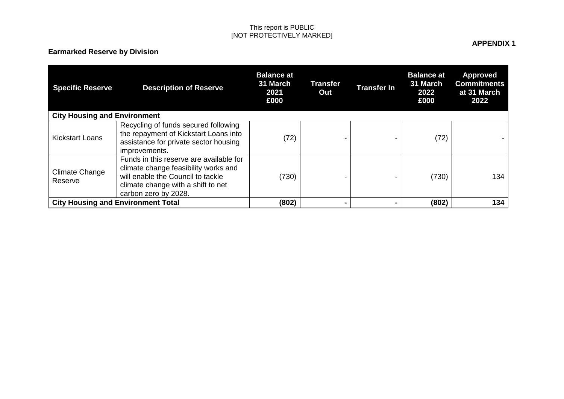# **Earmarked Reserve by Division**

| <b>Specific Reserve</b>             | <b>Description of Reserve</b>                                                                                                                                                      | <b>Balance at</b><br>31 March<br>2021<br>£000 | <b>Transfer</b><br>Out | <b>Transfer In</b> | <b>Balance at</b><br>31 March<br>2022<br>£000 | <b>Approved</b><br><b>Commitments</b><br>at 31 March<br>2022 |
|-------------------------------------|------------------------------------------------------------------------------------------------------------------------------------------------------------------------------------|-----------------------------------------------|------------------------|--------------------|-----------------------------------------------|--------------------------------------------------------------|
| <b>City Housing and Environment</b> |                                                                                                                                                                                    |                                               |                        |                    |                                               |                                                              |
| <b>Kickstart Loans</b>              | Recycling of funds secured following<br>the repayment of Kickstart Loans into<br>assistance for private sector housing<br>improvements.                                            | (72)                                          |                        |                    | (72)                                          |                                                              |
| Climate Change<br>Reserve           | Funds in this reserve are available for<br>climate change feasibility works and<br>will enable the Council to tackle<br>climate change with a shift to net<br>carbon zero by 2028. | (730)                                         |                        |                    | (730)                                         | 134                                                          |
|                                     | <b>City Housing and Environment Total</b>                                                                                                                                          | (802)                                         |                        |                    | (802)                                         | 134                                                          |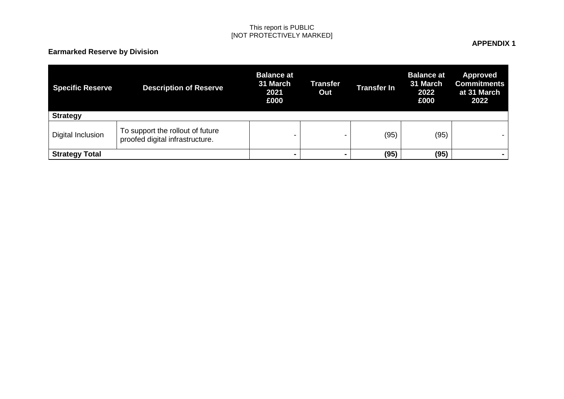# **Earmarked Reserve by Division**

| <b>Specific Reserve</b><br><b>Strategy</b> | <b>Description of Reserve</b>                                       | <b>Balance at</b><br>31 March<br>2021<br>£000 | Transfer<br>Out | <b>Transfer In</b> | <b>Balance at</b><br>31 March<br>2022<br>£000 | Approved<br><b>Commitments</b><br>at 31 March<br>2022 |
|--------------------------------------------|---------------------------------------------------------------------|-----------------------------------------------|-----------------|--------------------|-----------------------------------------------|-------------------------------------------------------|
| Digital Inclusion                          | To support the rollout of future<br>proofed digital infrastructure. | -                                             | -               | (95)               | (95)                                          | $\blacksquare$                                        |
| <b>Strategy Total</b>                      |                                                                     | н.                                            |                 | (95)               | (95)                                          | $\sim$                                                |